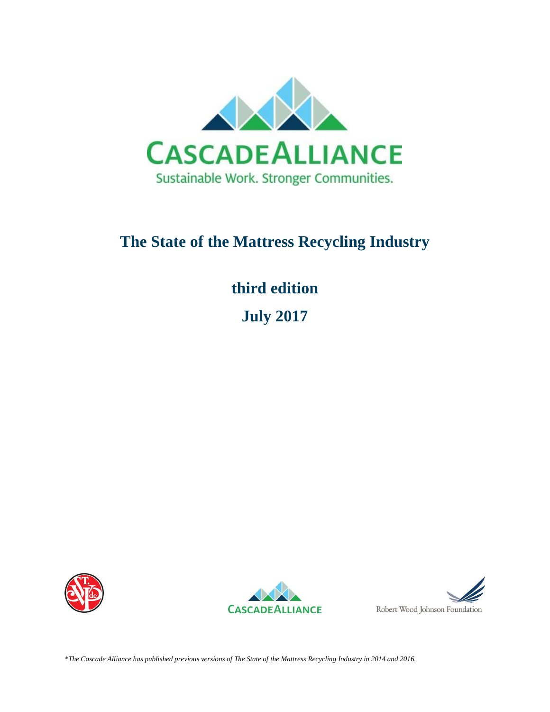

# **The State of the Mattress Recycling Industry**

# **third edition**

**July 2017** 







*\*The Cascade Alliance has published previous versions of The State of the Mattress Recycling Industry in 2014 and 2016.*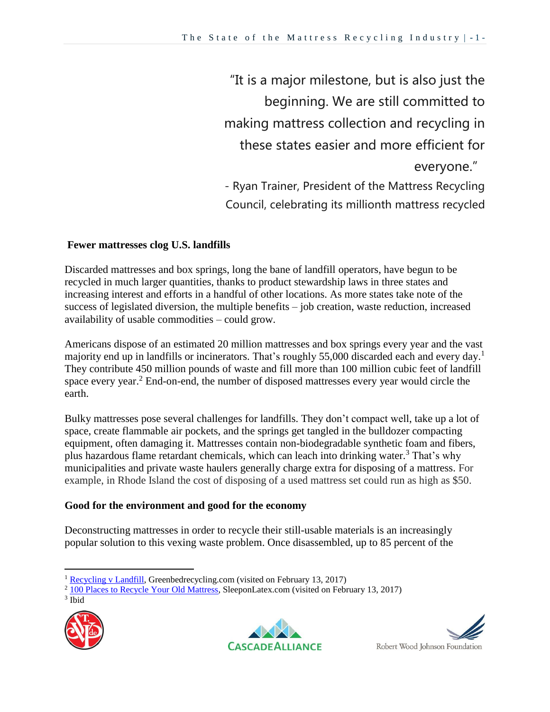"It is a major milestone, but is also just the beginning. We are still committed to making mattress collection and recycling in these states easier and more efficient for everyone." - Ryan Trainer, President of the Mattress Recycling Council, celebrating its millionth mattress recycled

### **Fewer mattresses clog U.S. landfills**

Discarded mattresses and box springs, long the bane of landfill operators, have begun to be recycled in much larger quantities, thanks to product stewardship laws in three states and increasing interest and efforts in a handful of other locations. As more states take note of the success of legislated diversion, the multiple benefits – job creation, waste reduction, increased availability of usable commodities – could grow.

Americans dispose of an estimated 20 million mattresses and box springs every year and the vast majority end up in landfills or incinerators. That's roughly 55,000 discarded each and every day.<sup>1</sup> They contribute 450 million pounds of waste and fill more than 100 million cubic feet of landfill space every year.<sup>2</sup> End-on-end, the number of disposed mattresses every year would circle the earth.

Bulky mattresses pose several challenges for landfills. They don't compact well, take up a lot of space, create flammable air pockets, and the springs get tangled in the bulldozer compacting equipment, often damaging it. Mattresses contain non-biodegradable synthetic foam and fibers, plus hazardous flame retardant chemicals, which can leach into drinking water.<sup>3</sup> That's why municipalities and private waste haulers generally charge extra for disposing of a mattress. For example, in Rhode Island the cost of disposing of a used mattress set could run as high as \$50.

#### **Good for the environment and good for the economy**

Deconstructing mattresses in order to recycle their still-usable materials is an increasingly popular solution to this vexing waste problem. Once disassembled, up to 85 percent of the

 $\overline{a}$ 







<sup>&</sup>lt;sup>1</sup> [Recycling v Landfill,](http://www.greenbedrecycling.com/our-mattress-recycling-program.php#recyclingVsLandfill-tab) Greenbedrecycling.com (visited on February 13, 2017)

<sup>&</sup>lt;sup>2</sup> [100 Places to Recycle Your Old Mattress,](http://sleeponlatex.com/blogs/news/14319429-100-places-to-recycle-your-old-mattress) SleeponLatex.com (visited on February 13, 2017)

<sup>3</sup> Ibid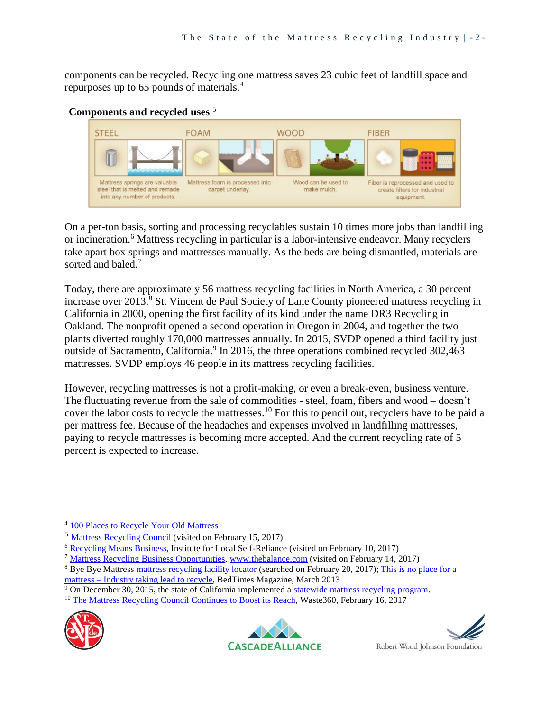components can be recycled. Recycling one mattress saves 23 cubic feet of landfill space and repurposes up to 65 pounds of materials.<sup>4</sup>



**Components and recycled uses** <sup>5</sup>

On a per-ton basis, sorting and processing recyclables sustain 10 times more jobs than landfilling or incineration.<sup>6</sup> Mattress recycling in particular is a labor-intensive endeavor. Many recyclers take apart box springs and mattresses manually. As the beds are being dismantled, materials are sorted and baled.<sup>7</sup>

Today, there are approximately 56 mattress recycling facilities in North America, a 30 percent increase over 2013. <sup>8</sup> St. Vincent de Paul Society of Lane County pioneered mattress recycling in California in 2000, opening the first facility of its kind under the name DR3 Recycling in Oakland. The nonprofit opened a second operation in Oregon in 2004, and together the two plants diverted roughly 170,000 mattresses annually. In 2015, SVDP opened a third facility just outside of Sacramento, California.<sup>9</sup> In 2016, the three operations combined recycled 302,463 mattresses. SVDP employs 46 people in its mattress recycling facilities.

However, recycling mattresses is not a profit-making, or even a break-even, business venture. The fluctuating revenue from the sale of commodities - steel, foam, fibers and wood – doesn't cover the labor costs to recycle the mattresses. <sup>10</sup> For this to pencil out, recyclers have to be paid a per mattress fee. Because of the headaches and expenses involved in landfilling mattresses, paying to recycle mattresses is becoming more accepted. And the current recycling rate of 5 percent is expected to increase.

<sup>&</sup>lt;sup>10</sup> [The Mattress Recycling Council Continues to Boost its Reach,](http://www.waste360.com/recycling/mattress-recycling-council-continues-boost-its-reach) Waste360, February 16, 2017



 $\overline{a}$ 





<sup>4</sup> [100 Places to Recycle Your Old Mattress](http://sleeponlatex.com/blogs/news/14319429-100-places-to-recycle-your-old-mattress)

<sup>&</sup>lt;sup>5</sup> [Mattress Recycling Council](http://mattressrecyclingcouncil.org/recycling/uses-for-recycled-components/)) (visited on February 15, 2017)

<sup>6</sup> [Recycling Means Business,](https://ilsr.org/recycling-means-business/) Institute for Local Self-Reliance (visited on February 10, 2017)

<sup>7</sup> [Mattress Recycling Business Opportunities,](https://www.thebalance.com/mattress-recycling-business-2877997) [www.thebalance.com](http://www.thebalance.com/) (visited on February 14, 2017)

<sup>&</sup>lt;sup>8</sup> Bye Bye Mattress [mattress recycling facility locator](http://byebyemattress.com/) (searched on February 20, 2017); This is no place for a mattress – [Industry taking lead to recycle,](http://bedtimesmagazine.com/2013/03/this-is-no-place-for-a-mattress-industry-taking-lead-to-recycle/) BedTimes Magazine, March 2013

<sup>9</sup> On December 30, 2015, the state of California implemented a [statewide mattress recycling program.](http://mattressrecyclingcouncil.org/mrc-in-your-state/california/)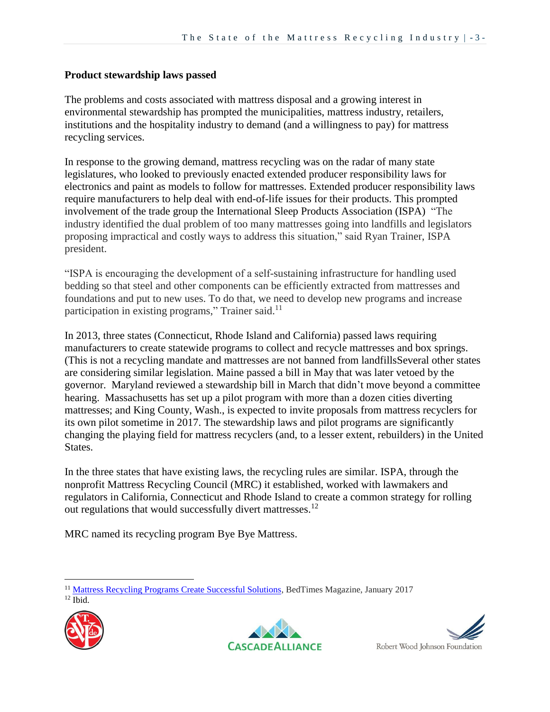#### **Product stewardship laws passed**

The problems and costs associated with mattress disposal and a growing interest in environmental stewardship has prompted the municipalities, mattress industry, retailers, institutions and the hospitality industry to demand (and a willingness to pay) for mattress recycling services.

In response to the growing demand, mattress recycling was on the radar of many state legislatures, who looked to previously enacted extended producer responsibility laws for electronics and paint as models to follow for mattresses. Extended producer responsibility laws require manufacturers to help deal with end-of-life issues for their products. This prompted involvement of the trade group the International Sleep Products Association (ISPA) "The industry identified the dual problem of too many mattresses going into landfills and legislators proposing impractical and costly ways to address this situation," said Ryan Trainer, ISPA president.

"ISPA is encouraging the development of a self-sustaining infrastructure for handling used bedding so that steel and other components can be efficiently extracted from mattresses and foundations and put to new uses. To do that, we need to develop new programs and increase participation in existing programs," Trainer said.<sup>11</sup>

In 2013, three states (Connecticut, Rhode Island and California) passed laws requiring manufacturers to create statewide programs to collect and recycle mattresses and box springs. (This is not a recycling mandate and mattresses are not banned from landfillsSeveral other states are considering similar legislation. Maine passed a bill in May that was later vetoed by the governor. Maryland reviewed a stewardship bill in March that didn't move beyond a committee hearing. Massachusetts has set up a pilot program with more than a dozen cities diverting mattresses; and King County, Wash., is expected to invite proposals from mattress recyclers for its own pilot sometime in 2017. The stewardship laws and pilot programs are significantly changing the playing field for mattress recyclers (and, to a lesser extent, rebuilders) in the United States.

In the three states that have existing laws, the recycling rules are similar. ISPA, through the nonprofit Mattress Recycling Council (MRC) it established, worked with lawmakers and regulators in California, Connecticut and Rhode Island to create a common strategy for rolling out regulations that would successfully divert mattresses.<sup>12</sup>

MRC named its recycling program Bye Bye Mattress.

<sup>11</sup> [Mattress Recycling Programs Create Successful Solutions,](http://bedtimesmagazine.com/2017/01/mattress-recycling-successful/) BedTimes Magazine, January 2017  $12$  Ibid.





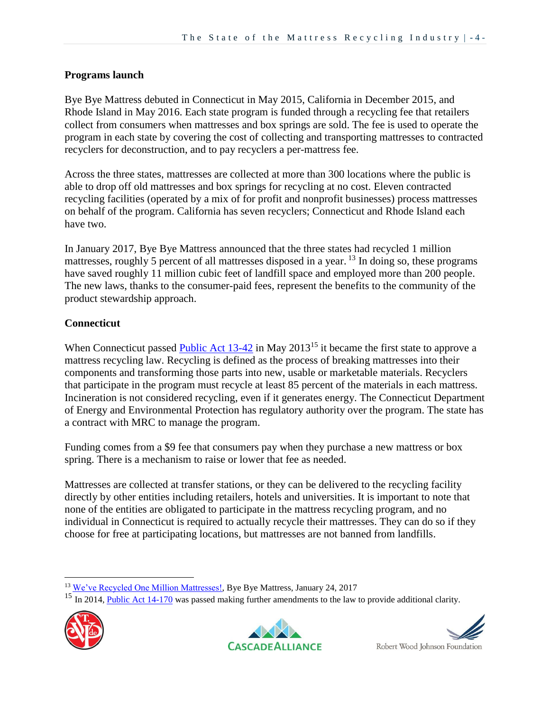### **Programs launch**

Bye Bye Mattress debuted in Connecticut in May 2015, California in December 2015, and Rhode Island in May 2016. Each state program is funded through a recycling fee that retailers collect from consumers when mattresses and box springs are sold. The fee is used to operate the program in each state by covering the cost of collecting and transporting mattresses to contracted recyclers for deconstruction, and to pay recyclers a per-mattress fee.

Across the three states, mattresses are collected at more than 300 locations where the public is able to drop off old mattresses and box springs for recycling at no cost. Eleven contracted recycling facilities (operated by a mix of for profit and nonprofit businesses) process mattresses on behalf of the program. California has seven recyclers; Connecticut and Rhode Island each have two.

In January 2017, Bye Bye Mattress announced that the three states had recycled 1 million mattresses, roughly 5 percent of all mattresses disposed in a year. <sup>13</sup> In doing so, these programs have saved roughly 11 million cubic feet of landfill space and employed more than 200 people. The new laws, thanks to the consumer-paid fees, represent the benefits to the community of the product stewardship approach.

### **Connecticut**

When Connecticut passed [Public Act 13-42](https://www.cga.ct.gov/asp/cgabillstatus/cgabillstatus.asp?selBillType=Public+Act&bill_num=42&which_year=2013) in May 2013<sup>15</sup> it became the first state to approve a mattress recycling law. Recycling is defined as the process of breaking mattresses into their components and transforming those parts into new, usable or marketable materials. Recyclers that participate in the program must recycle at least 85 percent of the materials in each mattress. Incineration is not considered recycling, even if it generates energy. The Connecticut Department of Energy and Environmental Protection has regulatory authority over the program. The state has a contract with MRC to manage the program.

Funding comes from a \$9 fee that consumers pay when they purchase a new mattress or box spring. There is a mechanism to raise or lower that fee as needed.

Mattresses are collected at transfer stations, or they can be delivered to the recycling facility directly by other entities including retailers, hotels and universities. It is important to note that none of the entities are obligated to participate in the mattress recycling program, and no individual in Connecticut is required to actually recycle their mattresses. They can do so if they choose for free at participating locations, but mattresses are not banned from landfills.

<sup>&</sup>lt;sup>15</sup> In 2014, [Public Act 14-170](http://www.cga.ct.gov/2014/ACT/pa/pdf/2014PA-00170-R00SB-00071-PA.pdf) was passed making further amendments to the law to provide additional clarity.



 $\overline{a}$ 





<sup>&</sup>lt;sup>13</sup> [We've Recycled One Million Mattresses!,](http://byebyemattress.com/2017/01/weve-recycled-one-million-mattresses/) Bye Bye Mattress, January 24, 2017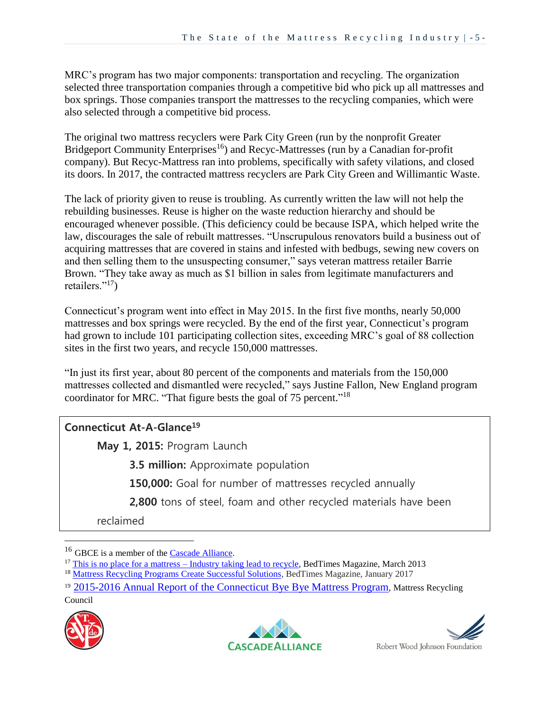MRC's program has two major components: transportation and recycling. The organization selected three transportation companies through a competitive bid who pick up all mattresses and box springs. Those companies transport the mattresses to the recycling companies, which were also selected through a competitive bid process.

The original two mattress recyclers were Park City Green (run by the nonprofit Greater Bridgeport Community Enterprises<sup>16</sup>) and Recyc-Mattresses (run by a Canadian for-profit company). But Recyc-Mattress ran into problems, specifically with safety vilations, and closed its doors. In 2017, the contracted mattress recyclers are Park City Green and Willimantic Waste.

The lack of priority given to reuse is troubling. As currently written the law will not help the rebuilding businesses. Reuse is higher on the waste reduction hierarchy and should be encouraged whenever possible. (This deficiency could be because ISPA, which helped write the law, discourages the sale of rebuilt mattresses. "Unscrupulous renovators build a business out of acquiring mattresses that are covered in stains and infested with bedbugs, sewing new covers on and then selling them to the unsuspecting consumer," says veteran mattress retailer Barrie Brown. "They take away as much as \$1 billion in sales from legitimate manufacturers and retailers."<sup>17</sup>)

Connecticut's program went into effect in May 2015. In the first five months, nearly 50,000 mattresses and box springs were recycled. By the end of the first year, Connecticut's program had grown to include 101 participating collection sites, exceeding MRC's goal of 88 collection sites in the first two years, and recycle 150,000 mattresses.

"In just its first year, about 80 percent of the components and materials from the 150,000 mattresses collected and dismantled were recycled," says Justine Fallon, New England program coordinator for MRC. "That figure bests the goal of 75 percent."<sup>18</sup>

## **Connecticut At-A-Glance<sup>19</sup>**

**May 1, 2015:** Program Launch

**3.5 million:** Approximate population

**150,000:** Goal for number of mattresses recycled annually

 **2,800** tons of steel, foam and other recycled materials have been

reclaimed

Council







<sup>&</sup>lt;sup>16</sup> GBCE is a member of the **Cascade Alliance**.

 $17$  [This is no place for a mattress –](http://bedtimesmagazine.com/2013/03/this-is-no-place-for-a-mattress-industry-taking-lead-to-recycle/) Industry taking lead to recycle, BedTimes Magazine, March 2013

<sup>&</sup>lt;sup>18</sup> [Mattress Recycling Programs Create Successful Solutions,](http://bedtimesmagazine.com/2017/01/mattress-recycling-successful/) BedTimes Magazine, January 2017

<sup>&</sup>lt;sup>19</sup> [2015-2016 Annual Report of the Connecticut Bye Bye Mattress Program](http://mattressrecyclingcouncil.org/wp-content/uploads/2016/10/MRC_CT_AnnualReport_ForWeb.pdf), Mattress Recycling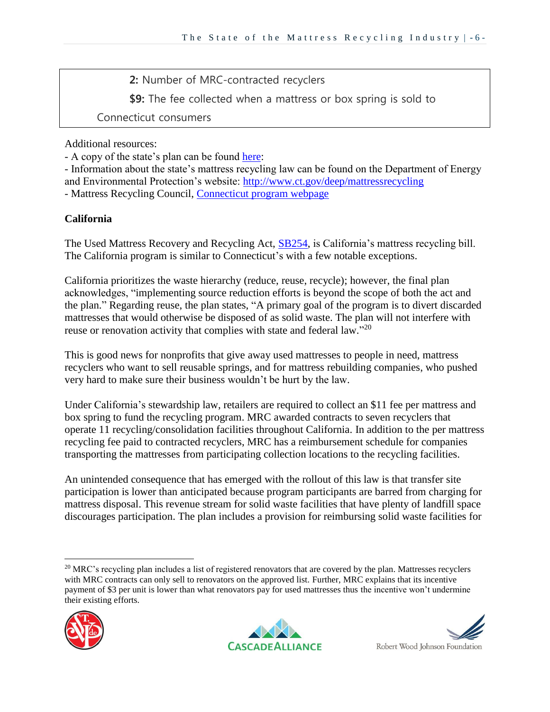**2:** Number of MRC-contracted recyclers

**\$9:** The fee collected when a mattress or box spring is sold to

Connecticut consumers

Additional resources:

- A copy of the state's plan can be found [here:](http://www.ct.gov/deep/lib/deep/reduce_reuse_recycle/mattress/mrc_connecticut_plan_2014july1.pdf)

- Information about the state's mattress recycling law can be found on the Department of Energy and Environmental Protection's website:<http://www.ct.gov/deep/mattressrecycling>

- Mattress Recycling Council, [Connecticut program webpage](http://mattressrecyclingcouncil.org/mrc-in-your-state/connecticut/)

## **California**

The Used Mattress Recovery and Recycling Act, [SB254,](https://leginfo.legislature.ca.gov/faces/billNavClient.xhtml?bill_id=201320140SB254) is California's mattress recycling bill. The California program is similar to Connecticut's with a few notable exceptions.

California prioritizes the waste hierarchy (reduce, reuse, recycle); however, the final plan acknowledges, "implementing source reduction efforts is beyond the scope of both the act and the plan." Regarding reuse, the plan states, "A primary goal of the program is to divert discarded mattresses that would otherwise be disposed of as solid waste. The plan will not interfere with reuse or renovation activity that complies with state and federal law."<sup>20</sup>

This is good news for nonprofits that give away used mattresses to people in need, mattress recyclers who want to sell reusable springs, and for mattress rebuilding companies, who pushed very hard to make sure their business wouldn't be hurt by the law.

Under California's stewardship law, retailers are required to collect an \$11 fee per mattress and box spring to fund the recycling program. MRC awarded contracts to seven recyclers that operate 11 recycling/consolidation facilities throughout California. In addition to the per mattress recycling fee paid to contracted recyclers, MRC has a reimbursement schedule for companies transporting the mattresses from participating collection locations to the recycling facilities.

An unintended consequence that has emerged with the rollout of this law is that transfer site participation is lower than anticipated because program participants are barred from charging for mattress disposal. This revenue stream for solid waste facilities that have plenty of landfill space discourages participation. The plan includes a provision for reimbursing solid waste facilities for

<sup>&</sup>lt;sup>20</sup> MRC's recycling plan includes a list of registered renovators that are covered by the plan. Mattresses recyclers with MRC contracts can only sell to renovators on the approved list. Further, MRC explains that its incentive payment of \$3 per unit is lower than what renovators pay for used mattresses thus the incentive won't undermine their existing efforts.





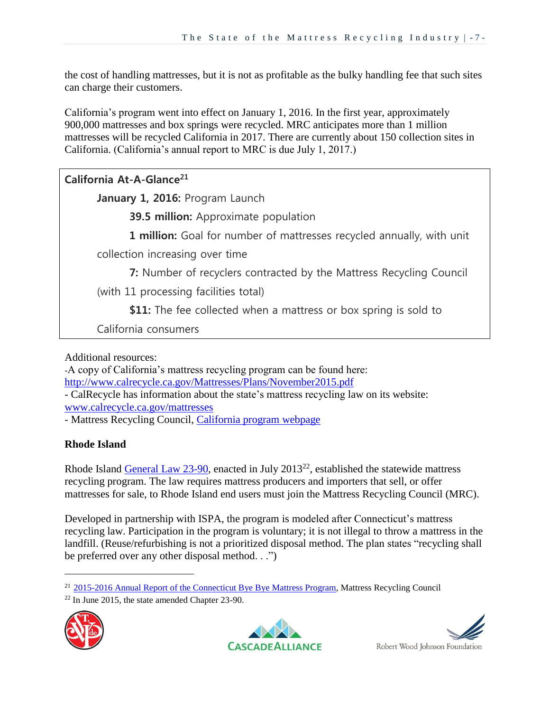the cost of handling mattresses, but it is not as profitable as the bulky handling fee that such sites can charge their customers.

California's program went into effect on January 1, 2016. In the first year, approximately 900,000 mattresses and box springs were recycled. MRC anticipates more than 1 million mattresses will be recycled California in 2017. There are currently about 150 collection sites in California. (California's annual report to MRC is due July 1, 2017.)

**California At-A-Glance<sup>21</sup> January 1, 2016:** Program Launch **39.5 million:** Approximate population **1 million:** Goal for number of mattresses recycled annually, with unit collection increasing over time **7:** Number of recyclers contracted by the Mattress Recycling Council (with 11 processing facilities total) **\$11:** The fee collected when a mattress or box spring is sold to California consumers

Additional resources:

-A copy of California's mattress recycling program can be found here: <http://www.calrecycle.ca.gov/Mattresses/Plans/November2015.pdf>

- CalRecycle has information about the state's mattress recycling law on its website: [www.calrecycle.ca.gov/mattresses](http://www.calrecycle.ca.gov/mattresses)

- Mattress Recycling Council, California [program webpage](http://mattressrecyclingcouncil.org/mrc-in-your-state/california/)

## **Rhode Island**

Rhode Island [General Law](http://webserver.rilin.state.ri.us/Statutes/TITLE23/23-90/INDEX.HTM) 23-90, enacted in July 2013<sup>22</sup>, established the statewide mattress recycling program. The law requires mattress producers and importers that sell, or offer mattresses for sale, to Rhode Island end users must join the Mattress Recycling Council (MRC).

Developed in partnership with ISPA, the program is modeled after Connecticut's mattress recycling law. Participation in the program is voluntary; it is not illegal to throw a mattress in the landfill. (Reuse/refurbishing is not a prioritized disposal method. The plan states "recycling shall be preferred over any other disposal method. . .")

 $22$  In June 2015, the state amended Chapter 23-90.



 $\overline{a}$ 





<sup>&</sup>lt;sup>21</sup> [2015-2016 Annual Report of the Connecticut Bye Bye Mattress Program,](http://mattressrecyclingcouncil.org/wp-content/uploads/2016/10/MRC_CT_AnnualReport_ForWeb.pdf) Mattress Recycling Council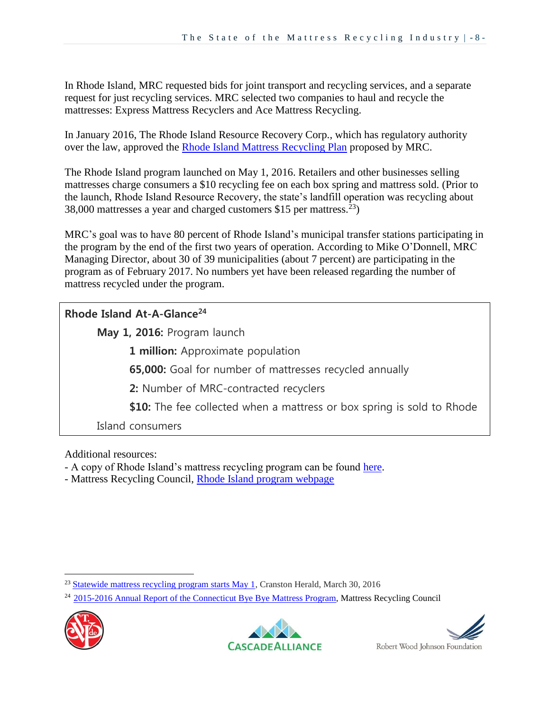In Rhode Island, MRC requested bids for joint transport and recycling services, and a separate request for just recycling services. MRC selected two companies to haul and recycle the mattresses: Express Mattress Recyclers and Ace Mattress Recycling.

In January 2016, The Rhode Island Resource Recovery Corp., which has regulatory authority over the law, approved the [Rhode Island Mattress Recycling Plan](http://mattressrecyclingcouncil.org/wp-content/uploads/2016/11/RI-MRC-Plan-Revised-1-7-16.pdf) proposed by MRC.

The Rhode Island program launched on May 1, 2016. Retailers and other businesses selling mattresses charge consumers a \$10 recycling fee on each box spring and mattress sold. (Prior to the launch, Rhode Island Resource Recovery, the state's landfill operation was recycling about 38,000 mattresses a year and charged customers \$15 per mattress.<sup>23</sup>)

MRC's goal was to have 80 percent of Rhode Island's municipal transfer stations participating in the program by the end of the first two years of operation. According to Mike O'Donnell, MRC Managing Director, about 30 of 39 municipalities (about 7 percent) are participating in the program as of February 2017. No numbers yet have been released regarding the number of mattress recycled under the program.

# **Rhode Island At-A-Glance<sup>24</sup>**

**May 1, 2016:** Program launch **1 million:** Approximate population **65,000:** Goal for number of mattresses recycled annually **2:** Number of MRC-contracted recyclers **\$10:** The fee collected when a mattress or box spring is sold to Rhode Island consumers

Additional resources:

- A copy of Rhode Island's mattress recycling program can be found [here.](http://mattressrecyclingcouncil.org/wp-content/uploads/2013/11/RI-MRC-Plan-Revised-1-7-16.pdf)
- Mattress Recycling Council, [Rhode Island program webpage](http://mattressrecyclingcouncil.org/mrc-in-your-state/rhodeisland/)

<sup>&</sup>lt;sup>24</sup> [2015-2016 Annual Report of the Connecticut Bye Bye Mattress Program,](http://mattressrecyclingcouncil.org/wp-content/uploads/2016/10/MRC_CT_AnnualReport_ForWeb.pdf) Mattress Recycling Council



 $\overline{a}$ 





<sup>&</sup>lt;sup>23</sup> [Statewide mattress recycling program starts May 1,](http://cranstononline.com/stories/statewide-mattress-recycling-program-starts-may-1,110771) Cranston Herald, March 30, 2016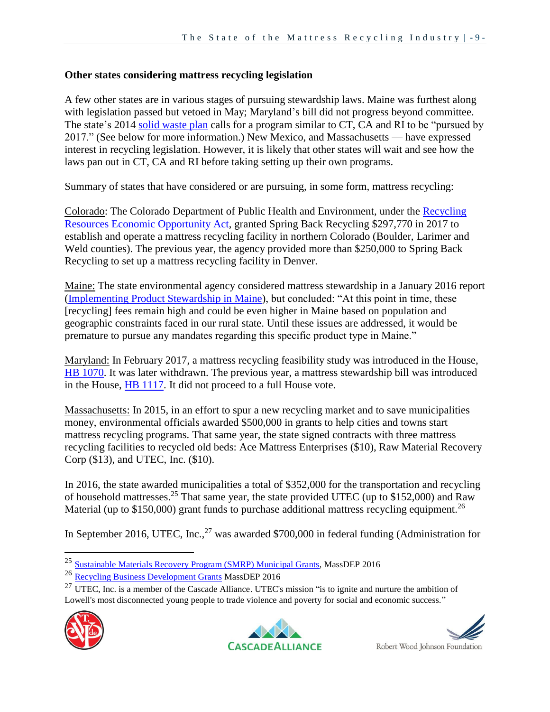#### **Other states considering mattress recycling legislation**

A few other states are in various stages of pursuing stewardship laws. Maine was furthest along with legislation passed but vetoed in May; Maryland's bill did not progress beyond committee. The state's 2014 [solid waste plan](http://www.mde.state.md.us/programs/Marylander/Documents/Zero_Waste_Plan_Draft_12.15.14.pdf) calls for a program similar to CT, CA and RI to be "pursued by 2017." (See below for more information.) New Mexico, and Massachusetts — have expressed interest in recycling legislation. However, it is likely that other states will wait and see how the laws pan out in CT, CA and RI before taking setting up their own programs.

Summary of states that have considered or are pursuing, in some form, mattress recycling:

Colorado: The Colorado Department of Public Health and Environment, under the Recycling [Resources Economic Opportunity Act,](https://www.colorado.gov/pacific/cdphe/yearly-recycling-projects-and-grants) granted Spring Back Recycling \$297,770 in 2017 to establish and operate a mattress recycling facility in northern Colorado (Boulder, Larimer and Weld counties). The previous year, the agency provided more than \$250,000 to Spring Back Recycling to set up a mattress recycling facility in Denver.

Maine: The state environmental agency considered mattress stewardship in a January 2016 report [\(Implementing Product Stewardship in Maine\)](http://www.nrcm.org/wp-content/uploads/2013/09/2016productstewardshipreporttolegislature.pdf), but concluded: "At this point in time, these [recycling] fees remain high and could be even higher in Maine based on population and geographic constraints faced in our rural state. Until these issues are addressed, it would be premature to pursue any mandates regarding this specific product type in Maine."

Maryland: In February 2017, a mattress recycling feasibility study was introduced in the House, [HB 1070.](http://mgaleg.maryland.gov/webmga/frmMain.aspx?pid=billpage&tab=subject3&id=hb1070&stab=01&ys=2017RS) It was later withdrawn. The previous year, a mattress stewardship bill was introduced in the House, **HB 1117**. It did not proceed to a full House vote.

Massachusetts: In 2015, in an effort to spur a new recycling market and to save municipalities money, environmental officials awarded \$500,000 in grants to help cities and towns start mattress recycling programs. That same year, the state signed contracts with three mattress recycling facilities to recycled old beds: Ace Mattress Enterprises (\$10), Raw Material Recovery Corp (\$13), and UTEC, Inc. (\$10).

In 2016, the state awarded municipalities a total of \$352,000 for the transportation and recycling of household mattresses.<sup>25</sup> That same year, the state provided UTEC (up to \$152,000) and Raw Material (up to \$150,000) grant funds to purchase additional mattress recycling equipment.<sup>26</sup>

In September 2016, UTEC, Inc., $^{27}$  was awarded \$700,000 in federal funding (Administration for

<sup>&</sup>lt;sup>27</sup> UTEC. Inc. is a member of the Cascade Alliance. UTEC's mission "is to ignite and nurture the ambition of Lowell's most disconnected young people to trade violence and poverty for social and economic success."



 $\overline{a}$ 





<sup>&</sup>lt;sup>25</sup> [Sustainable Materials Recovery Program \(SMRP\) Municipal Grants,](http://www.mass.gov/eea/agencies/massdep/recycle/grants/smrp-grants.html) MassDEP 2016

<sup>26</sup> Recycling [Business Development Grants](http://www.mass.gov/eea/agencies/massdep/recycle/grants/rbdg.html) MassDEP 2016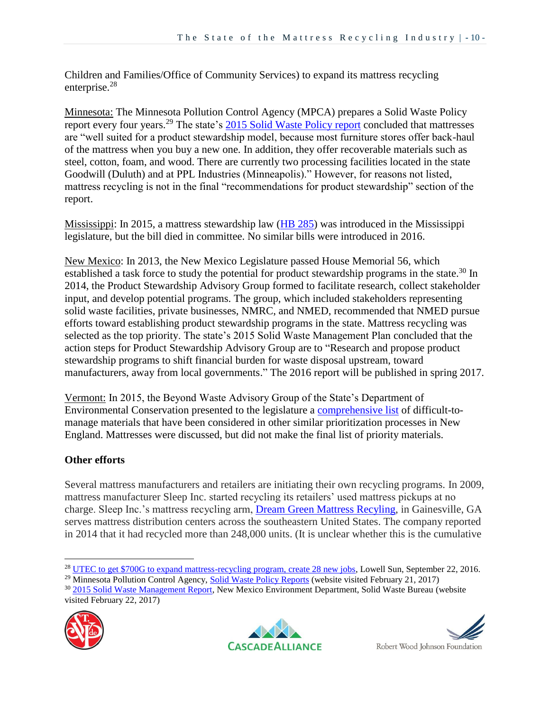Children and Families/Office of Community Services) to expand its mattress recycling enterprise.<sup>28</sup>

Minnesota: The Minnesota Pollution Control Agency (MPCA) prepares a Solid Waste Policy report every four years.<sup>29</sup> The state's [2015 Solid Waste Policy report](https://www.pca.state.mn.us/sites/default/files/lrw-sw-1sy15.pdf#page=46) concluded that mattresses are "well suited for a product stewardship model, because most furniture stores offer back-haul of the mattress when you buy a new one. In addition, they offer recoverable materials such as steel, cotton, foam, and wood. There are currently two processing facilities located in the state Goodwill (Duluth) and at PPL Industries (Minneapolis)." However, for reasons not listed, mattress recycling is not in the final "recommendations for product stewardship" section of the report.

Mississippi: In 2015, a mattress stewardship law [\(HB 285\)](http://billstatus.ls.state.ms.us/documents/2015/pdf/HB/0200-0299/HB0285IN.pdf) was introduced in the Mississippi legislature, but the bill died in committee. No similar bills were introduced in 2016.

New Mexico: In 2013, the New Mexico Legislature passed House Memorial 56, which established a task force to study the potential for product stewardship programs in the state.<sup>30</sup> In 2014, the Product Stewardship Advisory Group formed to facilitate research, collect stakeholder input, and develop potential programs. The group, which included stakeholders representing solid waste facilities, private businesses, NMRC, and NMED, recommended that NMED pursue efforts toward establishing product stewardship programs in the state. Mattress recycling was selected as the top priority. The state's 2015 Solid Waste Management Plan concluded that the action steps for Product Stewardship Advisory Group are to "Research and propose product stewardship programs to shift financial burden for waste disposal upstream, toward manufacturers, away from local governments." The 2016 report will be published in spring 2017.

Vermont: In 2015, the Beyond Waste Advisory Group of the State's Department of Environmental Conservation presented to the legislature a [comprehensive list](http://legislature.vermont.gov/assets/Legislative-Reports/BeyondWasteFINALRpt.pdf) of difficult-tomanage materials that have been considered in other similar prioritization processes in New England. Mattresses were discussed, but did not make the final list of priority materials.

## **Other efforts**

Several mattress manufacturers and retailers are initiating their own recycling programs. In 2009, mattress manufacturer Sleep Inc. started recycling its retailers' used mattress pickups at no charge. Sleep Inc.'s mattress recycling arm, [Dream Green Mattress Recyling,](http://www.sleepinc.com/dreamgreen-mattress-recycling.html) in Gainesville, GA serves mattress distribution centers across the southeastern United States. The company reported in 2014 that it had recycled more than 248,000 units. (It is unclear whether this is the cumulative

<sup>&</sup>lt;sup>30</sup> [2015 Solid Waste Management Report,](https://www.env.nm.gov/swb/documents/SolidWasteManagementPlan.pdf) New Mexico Environment Department, Solid Waste Bureau (website visited February 22, 2017)







 $\overline{a}$ <sup>28</sup> [UTEC to get \\$700G to expand mattress-recycling program, create 28 new jobs,](http://www.lowellsun.com/breakingnews/ci_30393075/utec-get-700g-expand-mattress-recycling-program-create) Lowell Sun, September 22, 2016.

<sup>&</sup>lt;sup>29</sup> Minnesota Pollution Control Agency, [Solid Waste Policy Reports](https://www.pca.state.mn.us/waste/solid-waste-policy-reports) (website visited February 21, 2017)